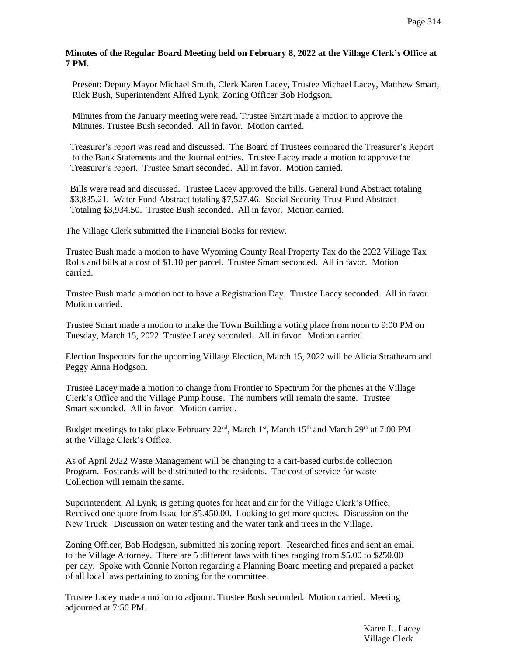## **Minutes of the Regular Board Meeting held on February 8, 2022 at the Village Clerk's Office at 7 PM.**

 Present: Deputy Mayor Michael Smith, Clerk Karen Lacey, Trustee Michael Lacey, Matthew Smart, Rick Bush, Superintendent Alfred Lynk, Zoning Officer Bob Hodgson,

 Minutes from the January meeting were read. Trustee Smart made a motion to approve the Minutes. Trustee Bush seconded. All in favor. Motion carried.

 Treasurer's report was read and discussed. The Board of Trustees compared the Treasurer's Report to the Bank Statements and the Journal entries. Trustee Lacey made a motion to approve the Treasurer's report. Trustee Smart seconded. All in favor. Motion carried.

 Bills were read and discussed. Trustee Lacey approved the bills. General Fund Abstract totaling \$3,835.21. Water Fund Abstract totaling \$7,527.46. Social Security Trust Fund Abstract Totaling \$3,934.50. Trustee Bush seconded. All in favor. Motion carried.

The Village Clerk submitted the Financial Books for review.

Trustee Bush made a motion to have Wyoming County Real Property Tax do the 2022 Village Tax Rolls and bills at a cost of \$1.10 per parcel. Trustee Smart seconded. All in favor. Motion carried.

Trustee Bush made a motion not to have a Registration Day. Trustee Lacey seconded. All in favor. Motion carried.

Trustee Smart made a motion to make the Town Building a voting place from noon to 9:00 PM on Tuesday, March 15, 2022. Trustee Lacey seconded. All in favor. Motion carried.

Election Inspectors for the upcoming Village Election, March 15, 2022 will be Alicia Strathearn and Peggy Anna Hodgson.

Trustee Lacey made a motion to change from Frontier to Spectrum for the phones at the Village Clerk's Office and the Village Pump house. The numbers will remain the same. Trustee Smart seconded. All in favor. Motion carried.

Budget meetings to take place February 22<sup>nd</sup>, March 1<sup>st</sup>, March 15<sup>th</sup> and March 29<sup>th</sup> at 7:00 PM at the Village Clerk's Office.

As of April 2022 Waste Management will be changing to a cart-based curbside collection Program. Postcards will be distributed to the residents. The cost of service for waste Collection will remain the same.

Superintendent, Al Lynk, is getting quotes for heat and air for the Village Clerk's Office, Received one quote from Issac for \$5.450.00. Looking to get more quotes. Discussion on the New Truck. Discussion on water testing and the water tank and trees in the Village.

Zoning Officer, Bob Hodgson, submitted his zoning report. Researched fines and sent an email to the Village Attorney. There are 5 different laws with fines ranging from \$5.00 to \$250.00 per day. Spoke with Connie Norton regarding a Planning Board meeting and prepared a packet of all local laws pertaining to zoning for the committee.

 Trustee Lacey made a motion to adjourn. Trustee Bush seconded. Motion carried. Meeting adjourned at 7:50 PM.